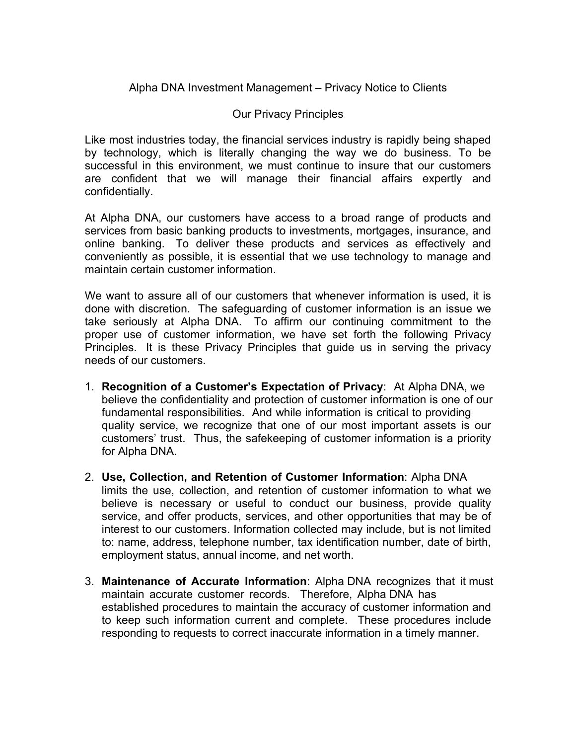## Alpha DNA Investment Management – Privacy Notice to Clients

## Our Privacy Principles

Like most industries today, the financial services industry is rapidly being shaped by technology, which is literally changing the way we do business. To be successful in this environment, we must continue to insure that our customers are confident that we will manage their financial affairs expertly and confidentially.

At Alpha DNA, our customers have access to a broad range of products and services from basic banking products to investments, mortgages, insurance, and online banking. To deliver these products and services as effectively and conveniently as possible, it is essential that we use technology to manage and maintain certain customer information.

We want to assure all of our customers that whenever information is used, it is done with discretion. The safeguarding of customer information is an issue we take seriously at Alpha DNA. To affirm our continuing commitment to the proper use of customer information, we have set forth the following Privacy Principles. It is these Privacy Principles that guide us in serving the privacy needs of our customers.

- 1. **Recognition of a Customer's Expectation of Privacy**: At Alpha DNA, we believe the confidentiality and protection of customer information is one of our fundamental responsibilities. And while information is critical to providing quality service, we recognize that one of our most important assets is our customers' trust. Thus, the safekeeping of customer information is a priority for Alpha DNA.
- 2. **Use, Collection, and Retention of Customer Information**: Alpha DNA limits the use, collection, and retention of customer information to what we believe is necessary or useful to conduct our business, provide quality service, and offer products, services, and other opportunities that may be of interest to our customers. Information collected may include, but is not limited to: name, address, telephone number, tax identification number, date of birth, employment status, annual income, and net worth.
- 3. **Maintenance of Accurate Information**: Alpha DNA recognizes that it must maintain accurate customer records. Therefore, Alpha DNA has established procedures to maintain the accuracy of customer information and to keep such information current and complete. These procedures include responding to requests to correct inaccurate information in a timely manner.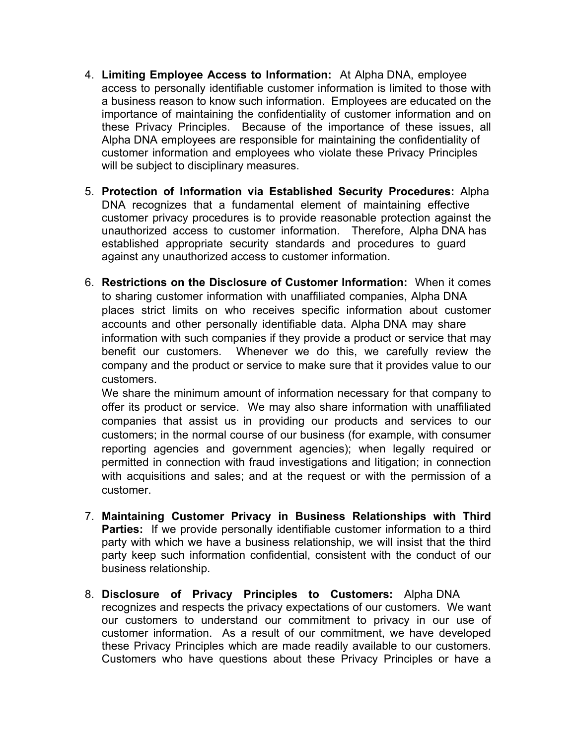- 4. **Limiting Employee Access to Information:** At Alpha DNA, employee access to personally identifiable customer information is limited to those with a business reason to know such information. Employees are educated on the importance of maintaining the confidentiality of customer information and on these Privacy Principles. Because of the importance of these issues, all Alpha DNA employees are responsible for maintaining the confidentiality of customer information and employees who violate these Privacy Principles will be subject to disciplinary measures.
- 5. **Protection of Information via Established Security Procedures:** Alpha DNA recognizes that a fundamental element of maintaining effective customer privacy procedures is to provide reasonable protection against the unauthorized access to customer information. Therefore, Alpha DNA has established appropriate security standards and procedures to guard against any unauthorized access to customer information.
- 6. **Restrictions on the Disclosure of Customer Information:** When it comes to sharing customer information with unaffiliated companies, Alpha DNA places strict limits on who receives specific information about customer accounts and other personally identifiable data. Alpha DNA may share information with such companies if they provide a product or service that may benefit our customers. Whenever we do this, we carefully review the company and the product or service to make sure that it provides value to our customers.

We share the minimum amount of information necessary for that company to offer its product or service. We may also share information with unaffiliated companies that assist us in providing our products and services to our customers; in the normal course of our business (for example, with consumer reporting agencies and government agencies); when legally required or permitted in connection with fraud investigations and litigation; in connection with acquisitions and sales; and at the request or with the permission of a customer.

- 7. **Maintaining Customer Privacy in Business Relationships with Third Parties:** If we provide personally identifiable customer information to a third party with which we have a business relationship, we will insist that the third party keep such information confidential, consistent with the conduct of our business relationship.
- 8. **Disclosure of Privacy Principles to Customers:** Alpha DNA recognizes and respects the privacy expectations of our customers. We want our customers to understand our commitment to privacy in our use of customer information. As a result of our commitment, we have developed these Privacy Principles which are made readily available to our customers. Customers who have questions about these Privacy Principles or have a